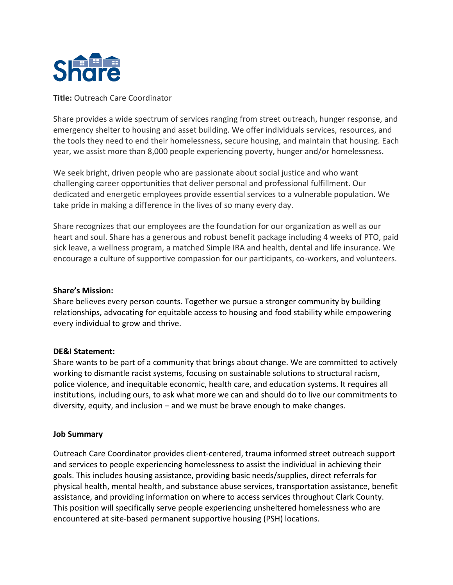

**Title:** Outreach Care Coordinator

Share provides a wide spectrum of services ranging from street outreach, hunger response, and emergency shelter to housing and asset building. We offer individuals services, resources, and the tools they need to end their homelessness, secure housing, and maintain that housing. Each year, we assist more than 8,000 people experiencing poverty, hunger and/or homelessness.

We seek bright, driven people who are passionate about social justice and who want challenging career opportunities that deliver personal and professional fulfillment. Our dedicated and energetic employees provide essential services to a vulnerable population. We take pride in making a difference in the lives of so many every day.

Share recognizes that our employees are the foundation for our organization as well as our heart and soul. Share has a generous and robust benefit package including 4 weeks of PTO, paid sick leave, a wellness program, a matched Simple IRA and health, dental and life insurance. We encourage a culture of supportive compassion for our participants, co-workers, and volunteers.

# **Share's Mission:**

Share believes every person counts. Together we pursue a stronger community by building relationships, advocating for equitable access to housing and food stability while empowering every individual to grow and thrive.

# **DE&I Statement:**

Share wants to be part of a community that brings about change. We are committed to actively working to dismantle racist systems, focusing on sustainable solutions to structural racism, police violence, and inequitable economic, health care, and education systems. It requires all institutions, including ours, to ask what more we can and should do to live our commitments to diversity, equity, and inclusion – and we must be brave enough to make changes.

# **Job Summary**

Outreach Care Coordinator provides client-centered, trauma informed street outreach support and services to people experiencing homelessness to assist the individual in achieving their goals. This includes housing assistance, providing basic needs/supplies, direct referrals for physical health, mental health, and substance abuse services, transportation assistance, benefit assistance, and providing information on where to access services throughout Clark County. This position will specifically serve people experiencing unsheltered homelessness who are encountered at site-based permanent supportive housing (PSH) locations.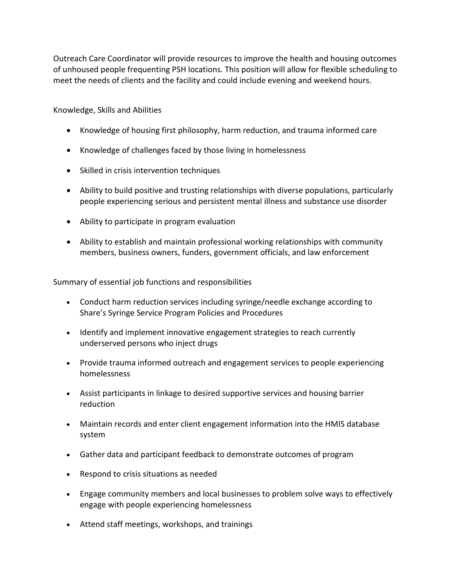Outreach Care Coordinator will provide resources to improve the health and housing outcomes of unhoused people frequenting PSH locations. This position will allow for flexible scheduling to meet the needs of clients and the facility and could include evening and weekend hours.

Knowledge, Skills and Abilities

- Knowledge of housing first philosophy, harm reduction, and trauma informed care
- Knowledge of challenges faced by those living in homelessness
- Skilled in crisis intervention techniques
- Ability to build positive and trusting relationships with diverse populations, particularly people experiencing serious and persistent mental illness and substance use disorder
- Ability to participate in program evaluation
- Ability to establish and maintain professional working relationships with community members, business owners, funders, government officials, and law enforcement

Summary of essential job functions and responsibilities

- Conduct harm reduction services including syringe/needle exchange according to Share's Syringe Service Program Policies and Procedures
- Identify and implement innovative engagement strategies to reach currently underserved persons who inject drugs
- Provide trauma informed outreach and engagement services to people experiencing homelessness
- Assist participants in linkage to desired supportive services and housing barrier reduction
- Maintain records and enter client engagement information into the HMIS database system
- Gather data and participant feedback to demonstrate outcomes of program
- Respond to crisis situations as needed
- Engage community members and local businesses to problem solve ways to effectively engage with people experiencing homelessness
- Attend staff meetings, workshops, and trainings